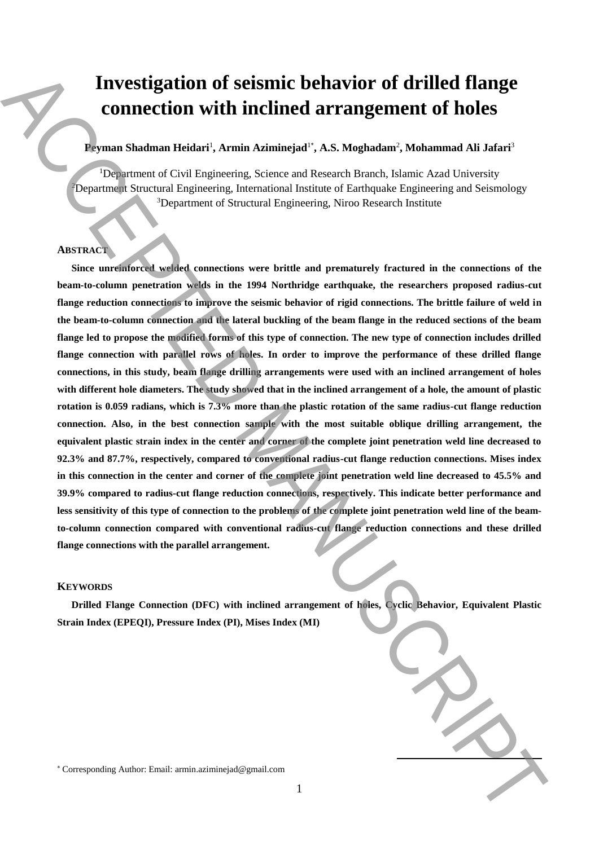# **Investigation of seismic behavior of drilled flange connection with inclined arrangement of holes**

# **Peyman Shadman Heidari**<sup>1</sup> **, Armin Aziminejad**<sup>1</sup>\* **, A.S. Moghadam**<sup>2</sup> **, Mohammad Ali Jafari**<sup>3</sup>

<sup>1</sup>Department of Civil Engineering, Science and Research Branch, Islamic Azad University <sup>2</sup>Department Structural Engineering, International Institute of Earthquake Engineering and Seismology <sup>3</sup>Department of Structural Engineering, Niroo Research Institute

## **ABSTRACT**

**Since unreinforced welded connections were brittle and prematurely fractured in the connections of the beam-to-column penetration welds in the 1994 Northridge earthquake, the researchers proposed radius-cut flange reduction connections to improve the seismic behavior of rigid connections. The brittle failure of weld in the beam-to-column connection and the lateral buckling of the beam flange in the reduced sections of the beam flange led to propose the modified forms of this type of connection. The new type of connection includes drilled flange connection with parallel rows of holes. In order to improve the performance of these drilled flange connections, in this study, beam flange drilling arrangements were used with an inclined arrangement of holes with different hole diameters. The study showed that in the inclined arrangement of a hole, the amount of plastic rotation is 0.059 radians, which is 7.3% more than the plastic rotation of the same radius-cut flange reduction connection. Also, in the best connection sample with the most suitable oblique drilling arrangement, the equivalent plastic strain index in the center and corner of the complete joint penetration weld line decreased to 92.3% and 87.7%, respectively, compared to conventional radius-cut flange reduction connections. Mises index in this connection in the center and corner of the complete joint penetration weld line decreased to 45.5% and 39.9% compared to radius-cut flange reduction connections, respectively. This indicate better performance and less sensitivity of this type of connection to the problems of the complete joint penetration weld line of the beamto-column connection compared with conventional radius-cut flange reduction connections and these drilled flange connections with the parallel arrangement.** Investigation of sciencie behavior of drilled flange<br>
connection with inclined arrangement of holes<br>
Promo Stadown Rédault, Armin.aziminejad?, A.S. Meghadow", Mehawumd All Jafari<br>
Commercial connection (Net proposed State

## **KEYWORDS**

**Drilled Flange Connection (DFC) with inclined arrangement of holes, Cyclic Behavior, Equivalent Plastic Strain Index (EPEQI), Pressure Index (PI), Mises Index (MI)**

**.**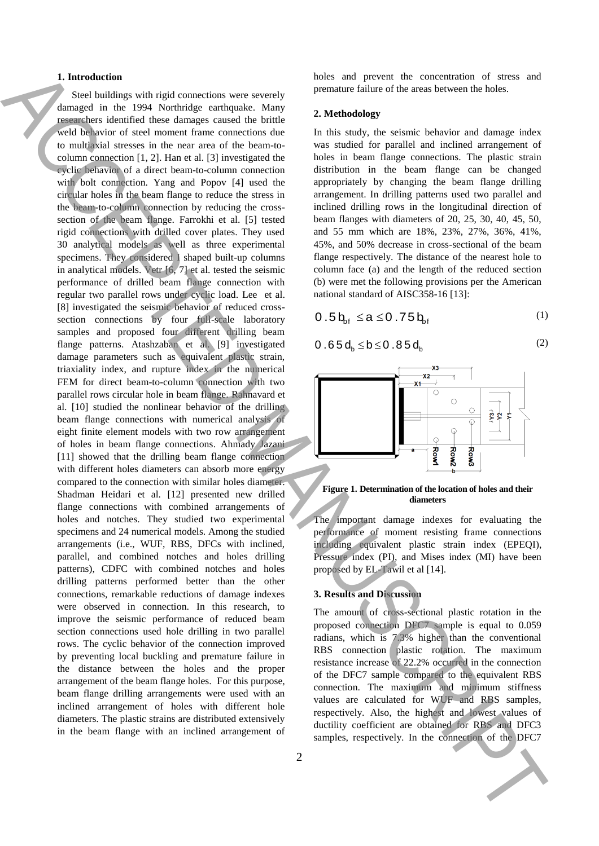## **1. Introduction**

Steel buildings with rigid connections were severely damaged in the 1994 Northridge earthquake. Many researchers identified these damages caused the brittle weld behavior of steel moment frame connections due to multiaxial stresses in the near area of the beam-tocolumn connection [1, 2]. Han et al. [3] investigated the cyclic behavior of a direct beam-to-column connection with bolt connection. Yang and Popov [4] used the circular holes in the beam flange to reduce the stress in the beam-to-column connection by reducing the crosssection of the beam flange. Farrokhi et al. [5] tested rigid connections with drilled cover plates. They used 30 analytical models as well as three experimental specimens. They considered I shaped built-up columns in analytical models. Vetr [6, 7] et al. tested the seismic performance of drilled beam flange connection with regular two parallel rows under cyclic load. Lee et al. [8] investigated the seismic behavior of reduced crosssection connections by four full-scale laboratory samples and proposed four different drilling beam flange patterns. Atashzaban et al. [9] investigated damage parameters such as equivalent plastic strain, triaxiality index, and rupture index in the numerical FEM for direct beam-to-column connection with two parallel rows circular hole in beam flange. Rahnavard et al. [10] studied the nonlinear behavior of the drilling beam flange connections with numerical analysis of eight finite element models with two row arrangement of holes in beam flange connections. Ahmady Jazani [11] showed that the drilling beam flange connection with different holes diameters can absorb more energy compared to the connection with similar holes diameter. Shadman Heidari et al. [12] presented new drilled flange connections with combined arrangements of holes and notches. They studied two experimental specimens and 24 numerical models. Among the studied arrangements (i.e., WUF, RBS, DFCs with inclined, parallel, and combined notches and holes drilling patterns), CDFC with combined notches and holes drilling patterns performed better than the other connections, remarkable reductions of damage indexes were observed in connection. In this research, to improve the seismic performance of reduced beam section connections used hole drilling in two parallel rows. The cyclic behavior of the connection improved by preventing local buckling and premature failure in the distance between the holes and the proper arrangement of the beam flange holes. For this purpose, beam flange drilling arrangements were used with an inclined arrangement of holes with different hole diameters. The plastic strains are distributed extensively in the beam flange with an inclined arrangement of **1.** Interaction the connection of the connection of the connection of the connection of the connection of the connection of the connection of the DFC7 ACCEPTE CONNECTION (in the connection of the DFC7 ACCEPTE CONNECTION

2

holes and prevent the concentration of stress and premature failure of the areas between the holes.

#### **2. Methodology**

In this study, the seismic behavior and damage index was studied for parallel and inclined arrangement of holes in beam flange connections. The plastic strain distribution in the beam flange can be changed appropriately by changing the beam flange drilling arrangement. In drilling patterns used two parallel and inclined drilling rows in the longitudinal direction of beam flanges with diameters of 20, 25, 30, 40, 45, 50, and 55 mm which are 18%, 23%, 27%, 36%, 41%, 45%, and 50% decrease in cross-sectional of the beam flange respectively. The distance of the nearest hole to column face (a) and the length of the reduced section (b) were met the following provisions per the American national standard of AISC358-16 [13]:

$$
0.5\mathbf{b}_{\mathrm{bf}} \leq a \leq 0.75\mathbf{b}_{\mathrm{bf}} \tag{1}
$$

$$
0.65 d_b \le b \le 0.85 d_b
$$



(2)





The important damage indexes for evaluating the performance of moment resisting frame connections including equivalent plastic strain index (EPEQI), Pressure index (PI), and Mises index (MI) have been proposed by EL-Tawil et al [14].

#### **3. Results and Discussion**

The amount of cross-sectional plastic rotation in the proposed connection DFC7 sample is equal to 0.059 radians, which is 7.3% higher than the conventional RBS connection plastic rotation. The maximum resistance increase of 22.2% occurred in the connection of the DFC7 sample compared to the equivalent RBS connection. The maximum and minimum stiffness values are calculated for WUF and RBS samples, respectively. Also, the highest and lowest values of ductility coefficient are obtained for RBS and DFC3